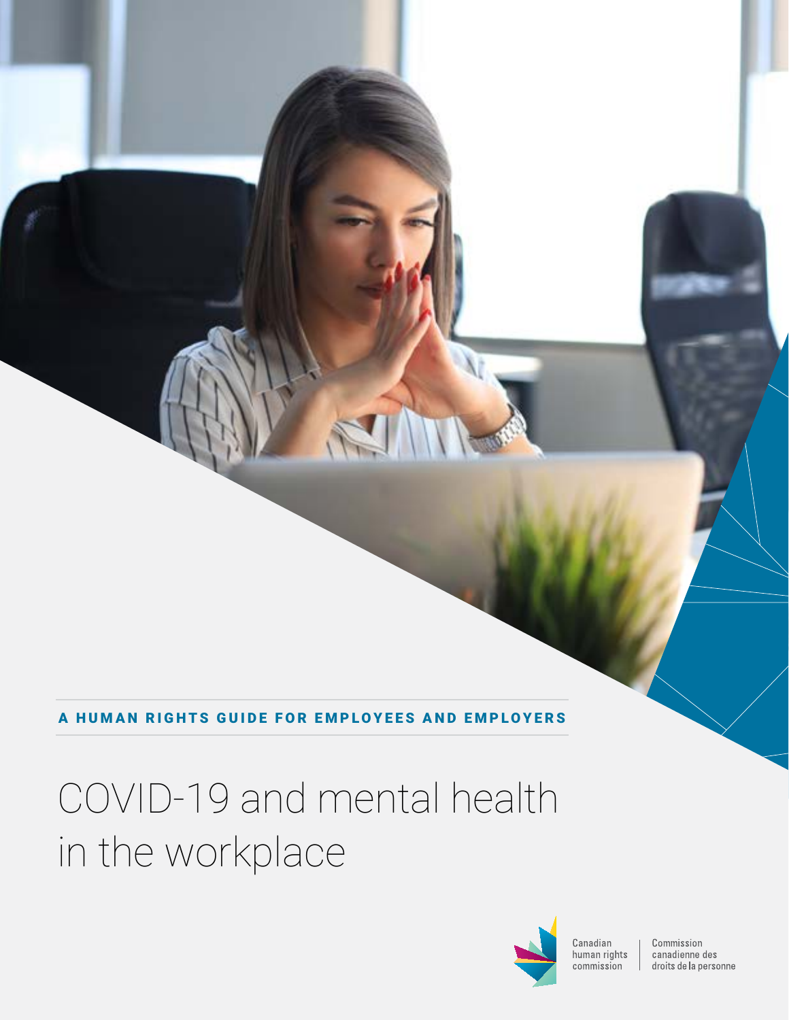A HUMAN RIGHTS GUIDE FOR EMPLOYEES AND EMPLOYERS

# COVID-19 and mental health in the workplace



Canadian human rights commission

Commission canadienne des droits de la personne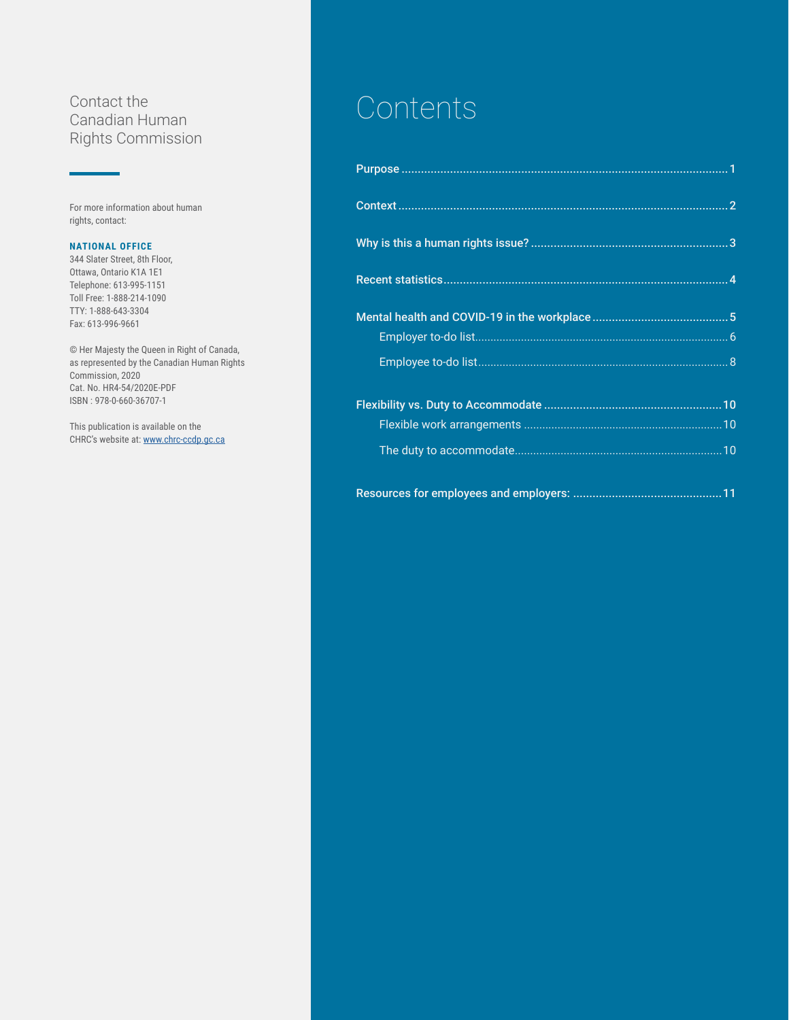#### Contact the Canadian Human Rights Commission

For more information about human rights, contact:

#### **NATIONAL OFFICE**

344 Slater Street, 8th Floor, Ottawa, Ontario K1A 1E1 Telephone: 613-995-1151 Toll Free: 1-888-214-1090 TTY: 1-888-643-3304 Fax: 613-996-9661

© Her Majesty the Queen in Right of Canada, as represented by the Canadian Human Rights Commission, 2020 Cat. No. HR4-54/2020E-PDF ISBN : 978-0-660-36707-1

This publication is available on the CHRC's website at: [www.chrc-ccdp.gc.ca](https://www.chrc-ccdp.gc.ca/eng)

# **Contents**

[Resources for employees and employers:](#page-12-0) ..............................................11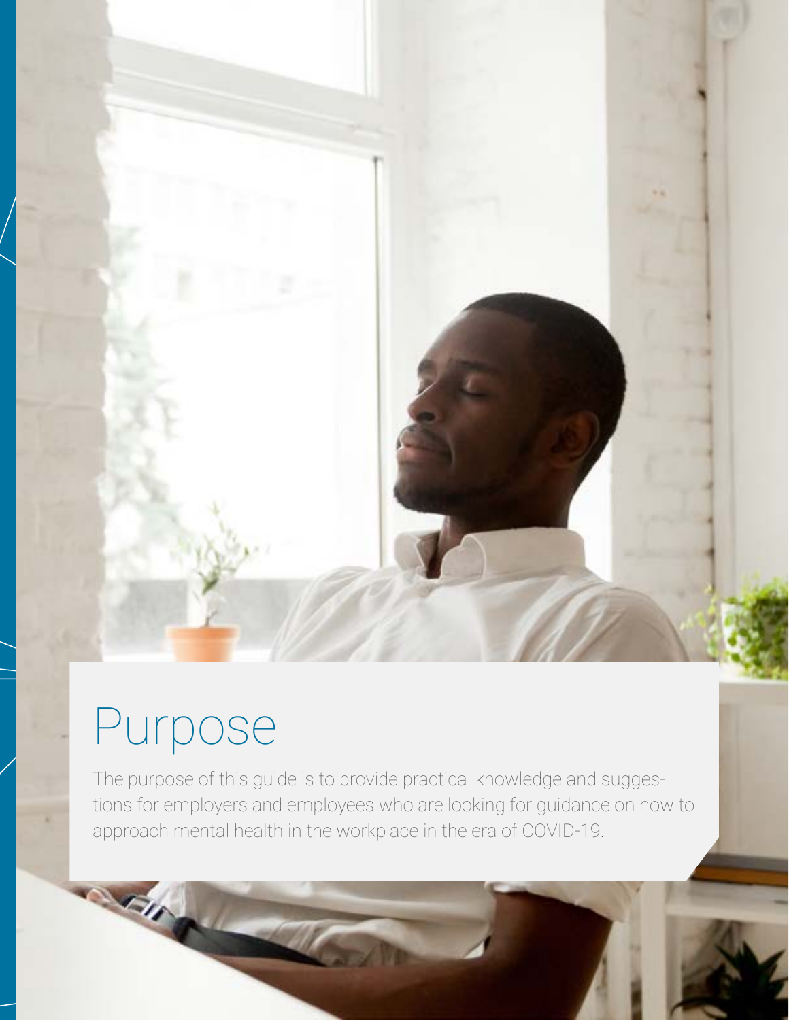# <span id="page-2-0"></span>Purpose

C O V I D-1 9 A N D M E NTA LT H E MARINA AND LET HANDLE IN A LT H I NEW YORK IN A LT H I NEW YORK IN A LT H I

**SEIR** 

The purpose of this guide is to provide practical knowledge and suggestions for employers and employees who are looking for guidance on how to approach mental health in the workplace in the era of COVID-19.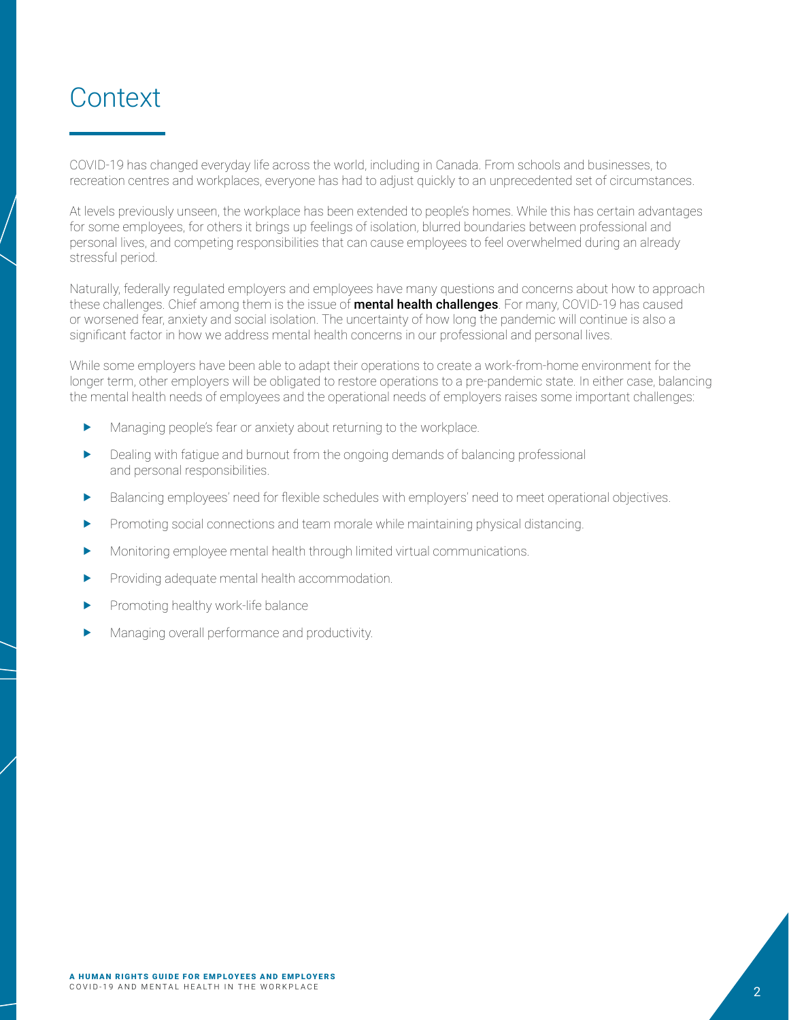# <span id="page-3-0"></span>**Context**

COVID-19 has changed everyday life across the world, including in Canada. From schools and businesses, to recreation centres and workplaces, everyone has had to adjust quickly to an unprecedented set of circumstances.

At levels previously unseen, the workplace has been extended to people's homes. While this has certain advantages for some employees, for others it brings up feelings of isolation, blurred boundaries between professional and personal lives, and competing responsibilities that can cause employees to feel overwhelmed during an already stressful period.

Naturally, federally regulated employers and employees have many questions and concerns about how to approach these challenges. Chief among them is the issue of **mental health challenges**. For many, COVID-19 has caused or worsened fear, anxiety and social isolation. The uncertainty of how long the pandemic will continue is also a significant factor in how we address mental health concerns in our professional and personal lives.

While some employers have been able to adapt their operations to create a work-from-home environment for the longer term, other employers will be obligated to restore operations to a pre-pandemic state. In either case, balancing the mental health needs of employees and the operational needs of employers raises some important challenges:

- Managing people's fear or anxiety about returning to the workplace.
- Dealing with fatigue and burnout from the ongoing demands of balancing professional and personal responsibilities.
- **F** Balancing employees' need for flexible schedules with employers' need to meet operational objectives.
- $\blacktriangleright$  Promoting social connections and team morale while maintaining physical distancing.
- **K** Monitoring employee mental health through limited virtual communications.
- $\blacktriangleright$  Providing adequate mental health accommodation.
- $\blacktriangleright$  Promoting healthy work-life balance
- Managing overall performance and productivity.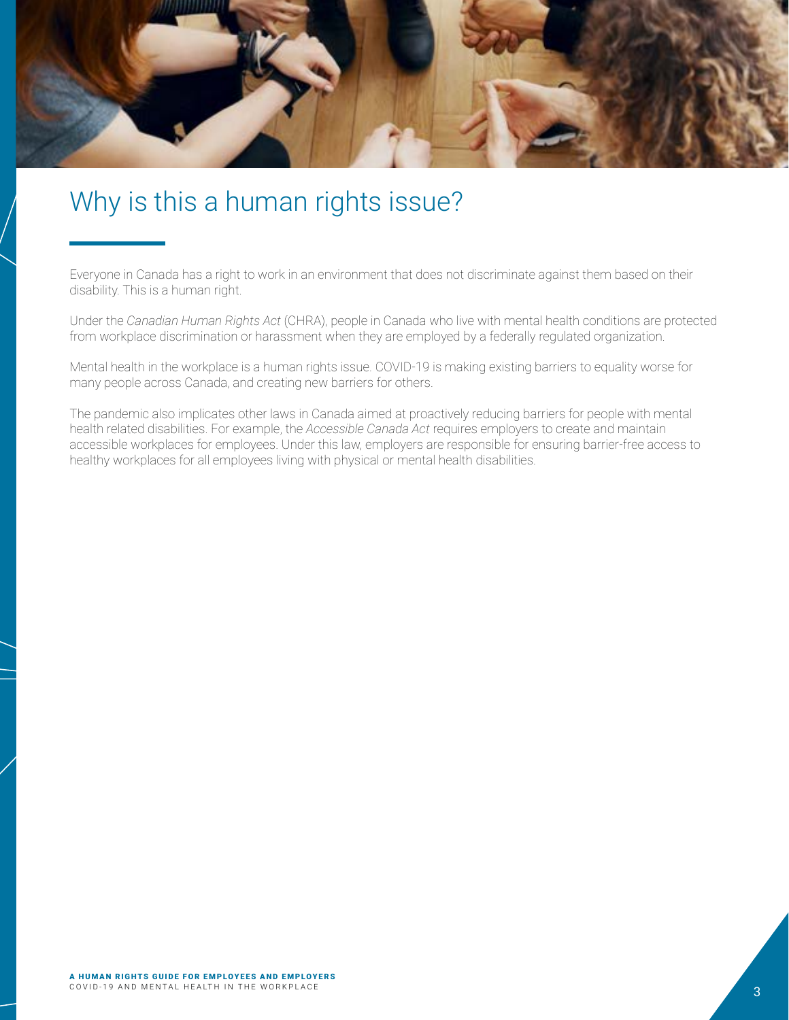<span id="page-4-0"></span>

## Why is this a human rights issue?

Everyone in Canada has a right to work in an environment that does not discriminate against them based on their disability. This is a human right.

Under the *Canadian Human Rights Act* (CHRA), people in Canada who live with mental health conditions are protected from workplace discrimination or harassment when they are employed by a federally regulated organization.

Mental health in the workplace is a human rights issue. COVID-19 is making existing barriers to equality worse for many people across Canada, and creating new barriers for others.

The pandemic also implicates other laws in Canada aimed at proactively reducing barriers for people with mental health related disabilities. For example, the *Accessible Canada Act* requires employers to create and maintain accessible workplaces for employees. Under this law, employers are responsible for ensuring barrier-free access to healthy workplaces for all employees living with physical or mental health disabilities.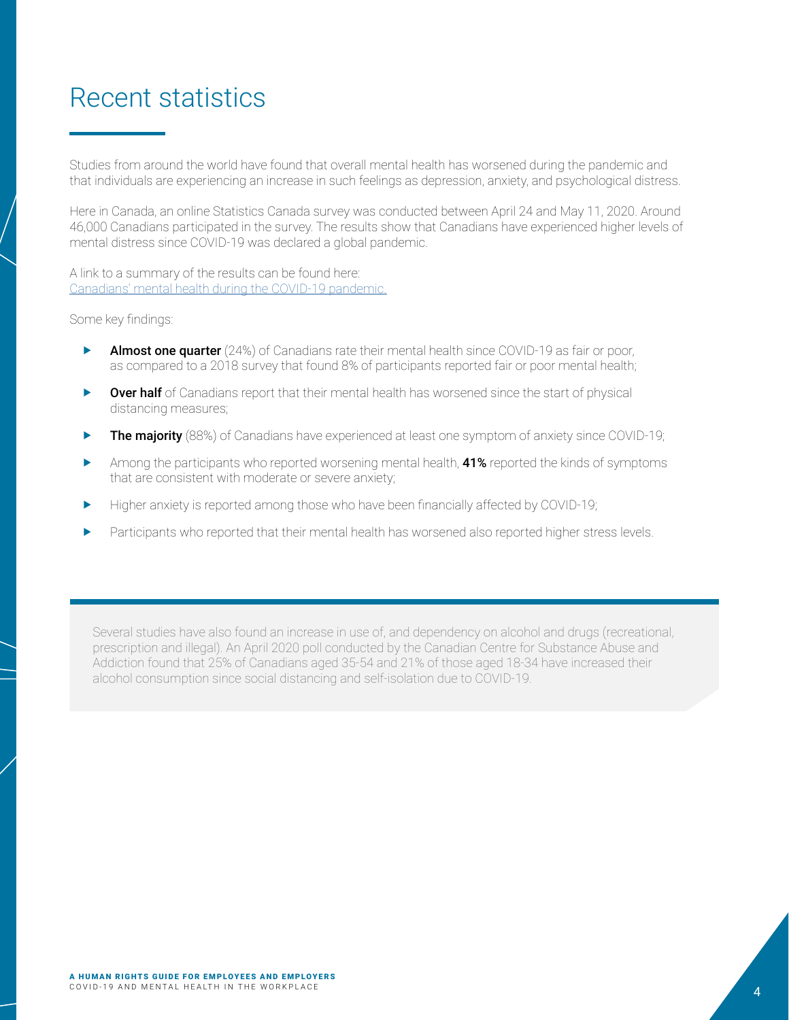# <span id="page-5-0"></span>Recent statistics

Studies from around the world have found that overall mental health has worsened during the pandemic and that individuals are experiencing an increase in such feelings as depression, anxiety, and psychological distress.

Here in Canada, an online Statistics Canada survey was conducted between April 24 and May 11, 2020. Around 46,000 Canadians participated in the survey. The results show that Canadians have experienced higher levels of mental distress since COVID-19 was declared a global pandemic.

A link to a summary of the results can be found here: [Canadians' mental health during the COVID-19 pandemic.](https://www150.statcan.gc.ca/n1/daily-quotidien/200527/dq200527b-eng.htm)

#### Some key findings:

- Almost one quarter (24%) of Canadians rate their mental health since COVID-19 as fair or poor, as compared to a 2018 survey that found 8% of participants reported fair or poor mental health;
- $\triangleright$  Over half of Canadians report that their mental health has worsened since the start of physical distancing measures;
- **Fine majority** (88%) of Canadians have experienced at least one symptom of anxiety since COVID-19;
- $\blacktriangleright$  Among the participants who reported worsening mental health, 41% reported the kinds of symptoms that are consistent with moderate or severe anxiety;
- Higher anxiety is reported among those who have been financially affected by COVID-19;
- Participants who reported that their mental health has worsened also reported higher stress levels.

Several studies have also found an increase in use of, and dependency on alcohol and drugs (recreational, prescription and illegal). An April 2020 poll conducted by the Canadian Centre for Substance Abuse and Addiction found that 25% of Canadians aged 35-54 and 21% of those aged 18-34 have increased their alcohol consumption since social distancing and self-isolation due to COVID-19.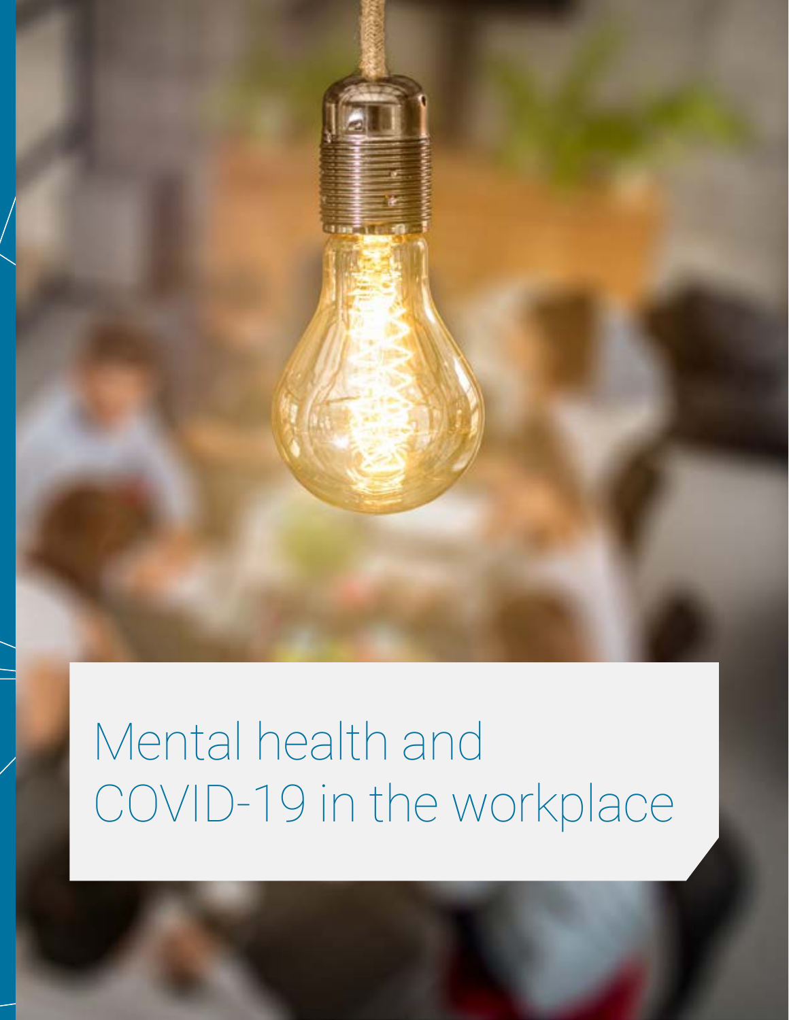

# <span id="page-6-0"></span>Mental health and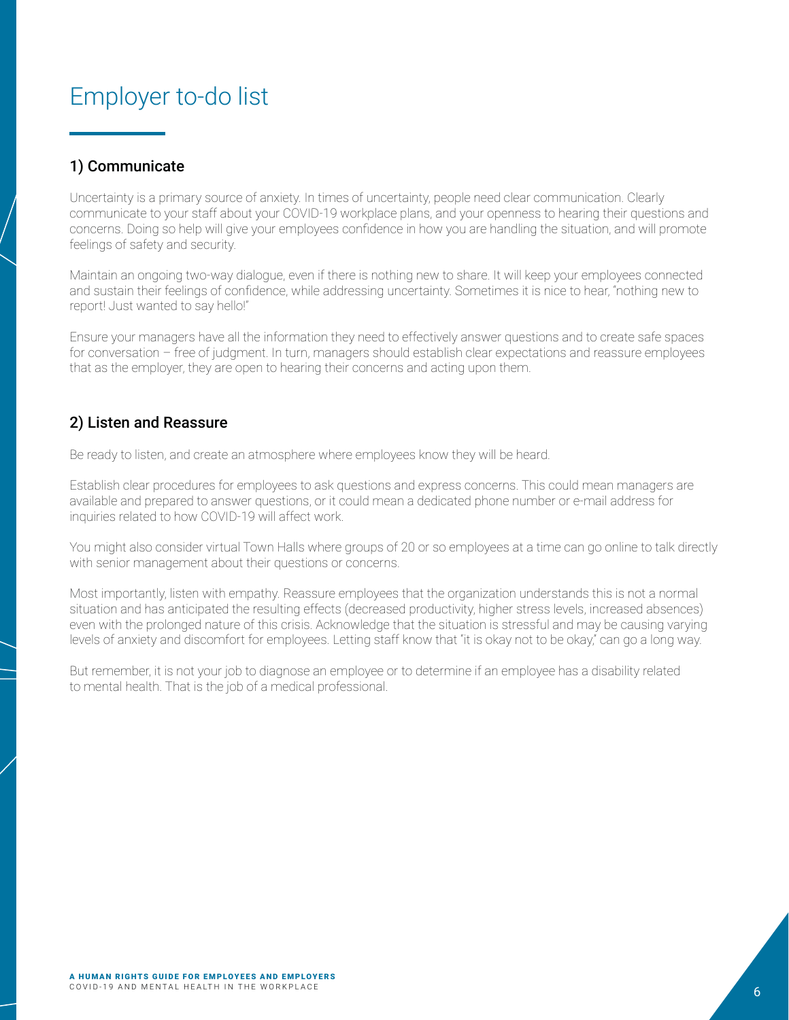### <span id="page-7-0"></span>Employer to-do list

#### 1) Communicate

Uncertainty is a primary source of anxiety. In times of uncertainty, people need clear communication. Clearly communicate to your staff about your COVID-19 workplace plans, and your openness to hearing their questions and concerns. Doing so help will give your employees confidence in how you are handling the situation, and will promote feelings of safety and security.

Maintain an ongoing two-way dialogue, even if there is nothing new to share. It will keep your employees connected and sustain their feelings of confidence, while addressing uncertainty. Sometimes it is nice to hear, "nothing new to report! Just wanted to say hello!"

Ensure your managers have all the information they need to effectively answer questions and to create safe spaces for conversation – free of judgment. In turn, managers should establish clear expectations and reassure employees that as the employer, they are open to hearing their concerns and acting upon them.

#### 2) Listen and Reassure

Be ready to listen, and create an atmosphere where employees know they will be heard.

Establish clear procedures for employees to ask questions and express concerns. This could mean managers are available and prepared to answer questions, or it could mean a dedicated phone number or e-mail address for inquiries related to how COVID-19 will affect work.

You might also consider virtual Town Halls where groups of 20 or so employees at a time can go online to talk directly with senior management about their questions or concerns.

Most importantly, listen with empathy. Reassure employees that the organization understands this is not a normal situation and has anticipated the resulting effects (decreased productivity, higher stress levels, increased absences) even with the prolonged nature of this crisis. Acknowledge that the situation is stressful and may be causing varying levels of anxiety and discomfort for employees. Letting staff know that "it is okay not to be okay," can go a long way.

But remember, it is not your job to diagnose an employee or to determine if an employee has a disability related to mental health. That is the job of a medical professional.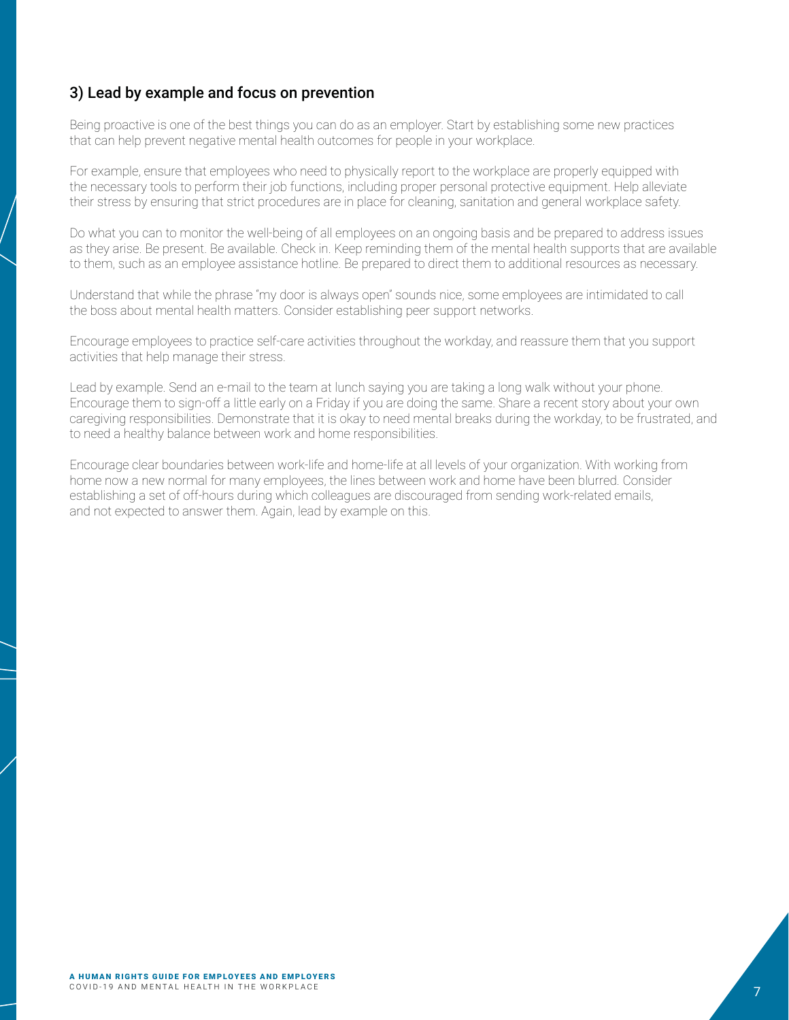#### 3) Lead by example and focus on prevention

Being proactive is one of the best things you can do as an employer. Start by establishing some new practices that can help prevent negative mental health outcomes for people in your workplace.

For example, ensure that employees who need to physically report to the workplace are properly equipped with the necessary tools to perform their job functions, including proper personal protective equipment. Help alleviate their stress by ensuring that strict procedures are in place for cleaning, sanitation and general workplace safety.

Do what you can to monitor the well-being of all employees on an ongoing basis and be prepared to address issues as they arise. Be present. Be available. Check in. Keep reminding them of the mental health supports that are available to them, such as an employee assistance hotline. Be prepared to direct them to additional resources as necessary.

Understand that while the phrase "my door is always open" sounds nice, some employees are intimidated to call the boss about mental health matters. Consider establishing peer support networks.

Encourage employees to practice self-care activities throughout the workday, and reassure them that you support activities that help manage their stress.

Lead by example. Send an e-mail to the team at lunch saying you are taking a long walk without your phone. Encourage them to sign-off a little early on a Friday if you are doing the same. Share a recent story about your own caregiving responsibilities. Demonstrate that it is okay to need mental breaks during the workday, to be frustrated, and to need a healthy balance between work and home responsibilities.

Encourage clear boundaries between work-life and home-life at all levels of your organization. With working from home now a new normal for many employees, the lines between work and home have been blurred. Consider establishing a set of off-hours during which colleagues are discouraged from sending work-related emails, and not expected to answer them. Again, lead by example on this.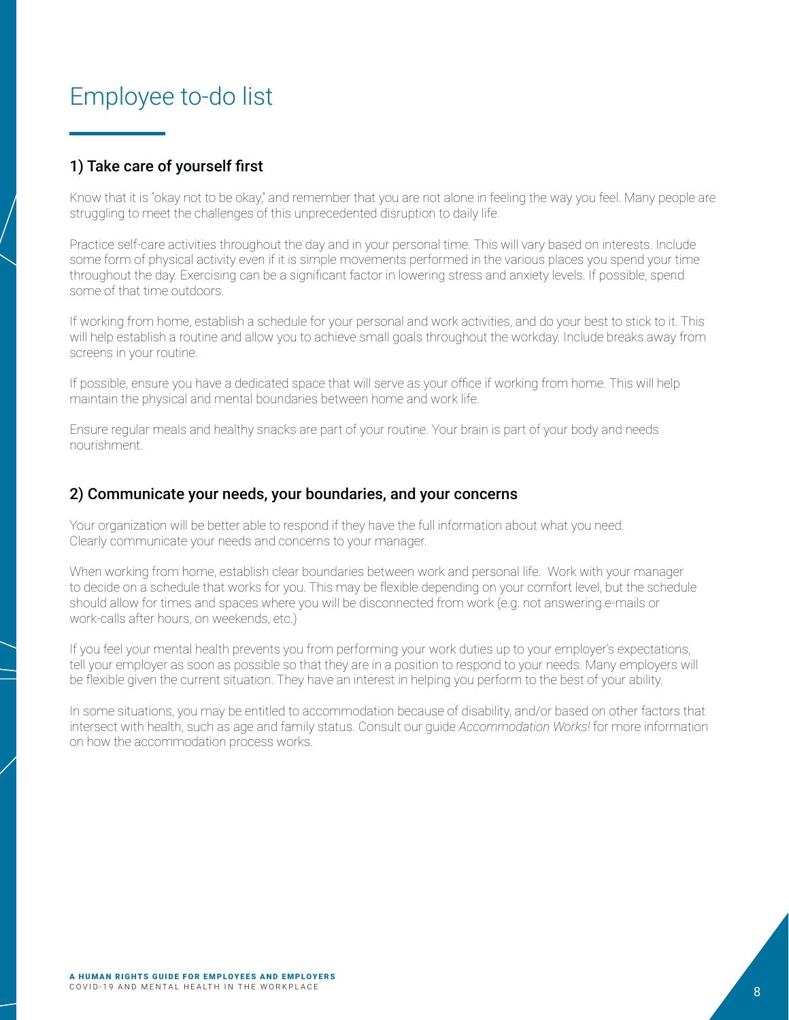## <span id="page-9-0"></span>Employee to-do list

#### 1) Take care of yourself first

Know that it is "okay not to be okay," and remember that you are not alone in feeling the way you feel. Many people are struggling to meet the challenges of this unprecedented disruption to daily life.

Practice self-care activities throughout the day and in your personal time. This will vary based on interests. Include some form of physical activity even if it is simple movements performed in the various places you spend your time throughout the day. Exercising can be a significant factor in lowering stress and anxiety levels. If possible, spend some of that time outdoors.

If working from home, establish a schedule for your personal and work activities, and do your best to stick to it. This will help establish a routine and allow you to achieve small goals throughout the workday. Include breaks away from screens in your routine.

If possible, ensure you have a dedicated space that will serve as your office if working from home. This will help maintain the physical and mental boundaries between home and work life.

Ensure regular meals and healthy snacks are part of your routine. Your brain is part of your body and needs nourishment.

#### 2) Communicate your needs, your boundaries, and your concerns

Your organization will be better able to respond if they have the full information about what you need. Clearly communicate your needs and concerns to your manager.

When working from home, establish clear boundaries between work and personal life. Work with your manager to decide on a schedule that works for you. This may be flexible depending on your comfort level, but the schedule should allow for times and spaces where you will be disconnected from work (e.g. not answering e-mails or work-calls after hours, on weekends, etc.)

If you feel your mental health prevents you from performing your work duties up to your employer's expectations, tell your employer as soon as possible so that they are in a position to respond to your needs. Many employers will be flexible given the current situation. They have an interest in helping you perform to the best of your ability.

In some situations, you may be entitled to accommodation because of disability, and/or based on other factors that intersect with health, such as age and family status. Consult our guide *Accommodation Works!* for more information on how the accommodation process works.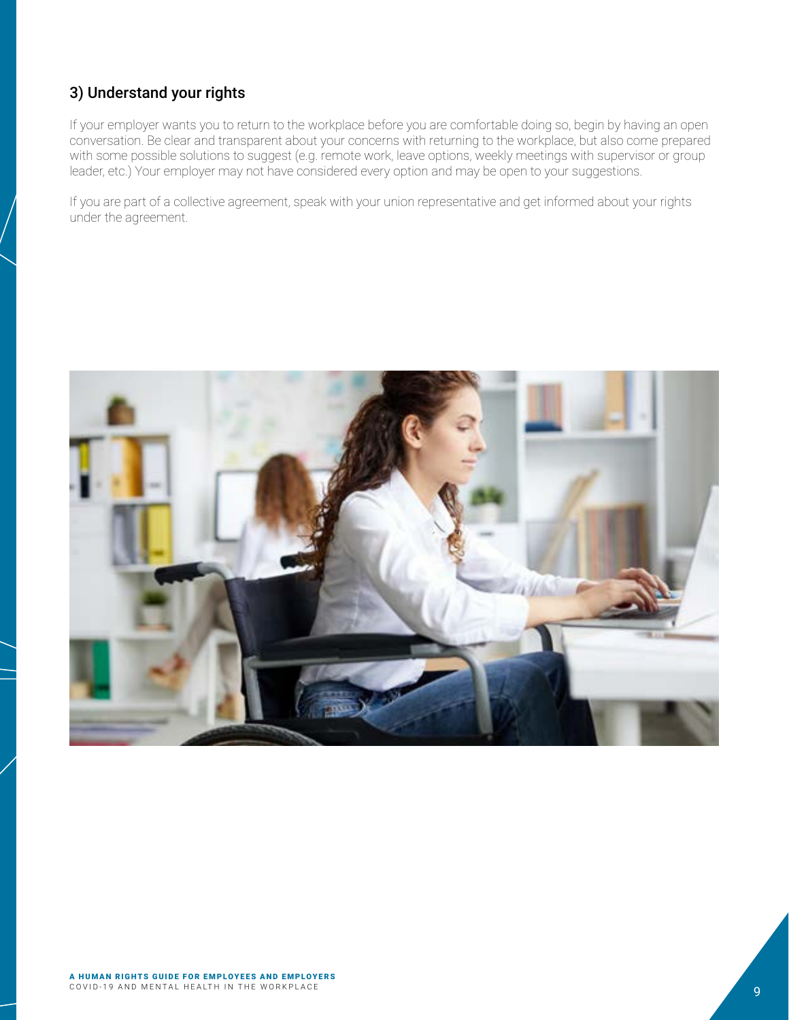#### 3) Understand your rights

If your employer wants you to return to the workplace before you are comfortable doing so, begin by having an open conversation. Be clear and transparent about your concerns with returning to the workplace, but also come prepared with some possible solutions to suggest (e.g. remote work, leave options, weekly meetings with supervisor or group leader, etc.) Your employer may not have considered every option and may be open to your suggestions.

If you are part of a collective agreement, speak with your union representative and get informed about your rights under the agreement.

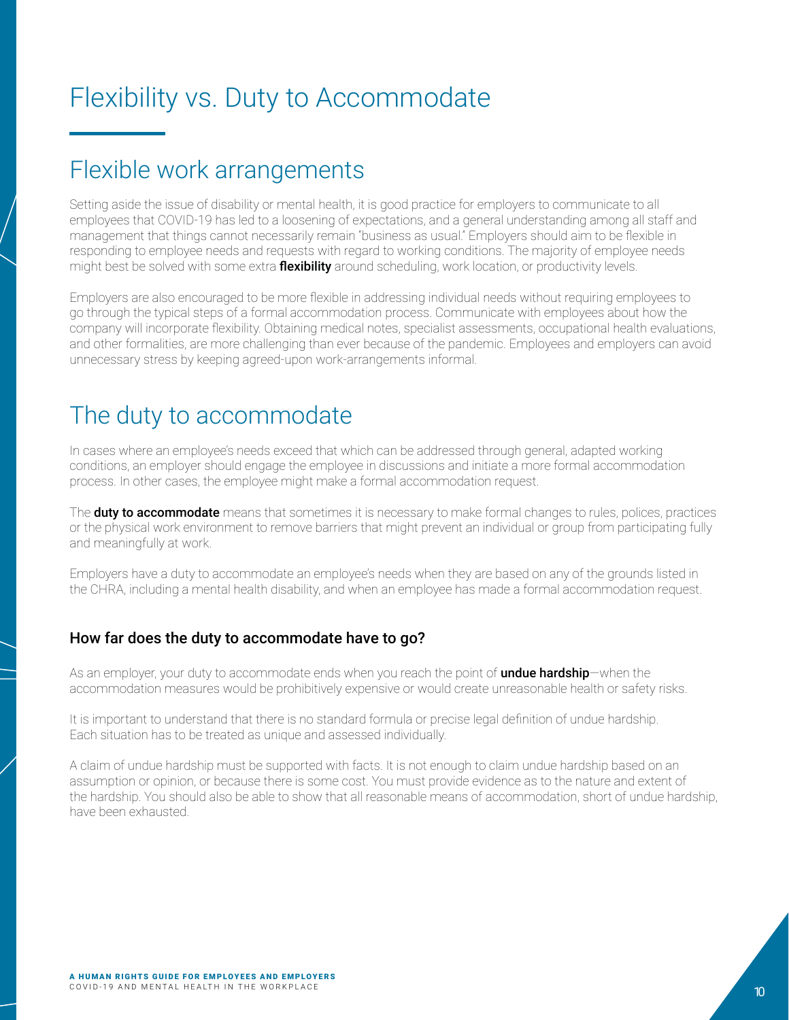# <span id="page-11-0"></span>Flexibility vs. Duty to Accommodate

# Flexible work arrangements

Setting aside the issue of disability or mental health, it is good practice for employers to communicate to all employees that COVID-19 has led to a loosening of expectations, and a general understanding among all staff and management that things cannot necessarily remain "business as usual." Employers should aim to be flexible in responding to employee needs and requests with regard to working conditions. The majority of employee needs might best be solved with some extra **flexibility** around scheduling, work location, or productivity levels.

Employers are also encouraged to be more flexible in addressing individual needs without requiring employees to go through the typical steps of a formal accommodation process. Communicate with employees about how the company will incorporate flexibility. Obtaining medical notes, specialist assessments, occupational health evaluations, and other formalities, are more challenging than ever because of the pandemic. Employees and employers can avoid unnecessary stress by keeping agreed-upon work-arrangements informal.

# The duty to accommodate

In cases where an employee's needs exceed that which can be addressed through general, adapted working conditions, an employer should engage the employee in discussions and initiate a more formal accommodation process. In other cases, the employee might make a formal accommodation request.

The **duty to accommodate** means that sometimes it is necessary to make formal changes to rules, polices, practices or the physical work environment to remove barriers that might prevent an individual or group from participating fully and meaningfully at work.

Employers have a duty to accommodate an employee's needs when they are based on any of the grounds listed in the CHRA, including a mental health disability, and when an employee has made a formal accommodation request.

#### How far does the duty to accommodate have to go?

As an employer, your duty to accommodate ends when you reach the point of undue hardship—when the accommodation measures would be prohibitively expensive or would create unreasonable health or safety risks.

It is important to understand that there is no standard formula or precise legal definition of undue hardship. Each situation has to be treated as unique and assessed individually.

A claim of undue hardship must be supported with facts. It is not enough to claim undue hardship based on an assumption or opinion, or because there is some cost. You must provide evidence as to the nature and extent of the hardship. You should also be able to show that all reasonable means of accommodation, short of undue hardship, have been exhausted.